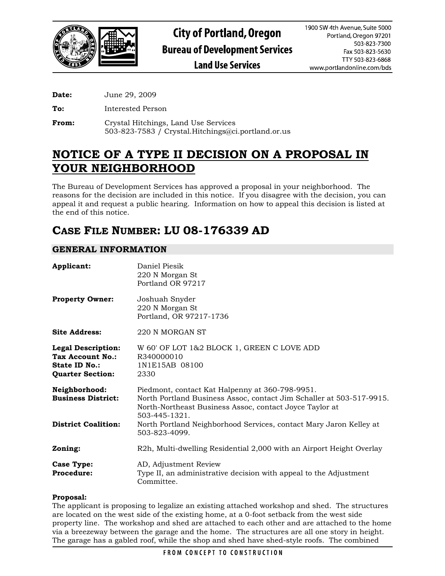

**Date:** June 29, 2009

**To:** Interested Person

**From:** Crystal Hitchings, Land Use Services 503-823-7583 / Crystal.Hitchings@ci.portland.or.us

# **NOTICE OF A TYPE II DECISION ON A PROPOSAL IN YOUR NEIGHBORHOOD**

The Bureau of Development Services has approved a proposal in your neighborhood. The reasons for the decision are included in this notice. If you disagree with the decision, you can appeal it and request a public hearing. Information on how to appeal this decision is listed at the end of this notice.

# **CASE FILE NUMBER: LU 08-176339 AD**

# **GENERAL INFORMATION**

| Applicant:                                                                                       | Daniel Piesik<br>220 N Morgan St<br>Portland OR 97217                                                                                                                                               |
|--------------------------------------------------------------------------------------------------|-----------------------------------------------------------------------------------------------------------------------------------------------------------------------------------------------------|
| <b>Property Owner:</b>                                                                           | Joshuah Snyder<br>220 N Morgan St<br>Portland, OR 97217-1736                                                                                                                                        |
| <b>Site Address:</b>                                                                             | 220 N MORGAN ST                                                                                                                                                                                     |
| <b>Legal Description:</b><br><b>Tax Account No.:</b><br>State ID No.:<br><b>Quarter Section:</b> | W 60' OF LOT 1&2 BLOCK 1, GREEN C LOVE ADD<br>R340000010<br>1N1E15AB 08100<br>2330                                                                                                                  |
| Neighborhood:<br><b>Business District:</b>                                                       | Piedmont, contact Kat Halpenny at 360-798-9951.<br>North Portland Business Assoc, contact Jim Schaller at 503-517-9915.<br>North-Northeast Business Assoc, contact Joyce Taylor at<br>503-445-1321. |
| <b>District Coalition:</b>                                                                       | North Portland Neighborhood Services, contact Mary Jaron Kelley at<br>503-823-4099.                                                                                                                 |
| Zoning:                                                                                          | R2h, Multi-dwelling Residential 2,000 with an Airport Height Overlay                                                                                                                                |
| <b>Case Type:</b><br><b>Procedure:</b>                                                           | AD, Adjustment Review<br>Type II, an administrative decision with appeal to the Adjustment<br>Committee.                                                                                            |

## **Proposal:**

The applicant is proposing to legalize an existing attached workshop and shed. The structures are located on the west side of the existing home, at a 0-foot setback from the west side property line. The workshop and shed are attached to each other and are attached to the home via a breezeway between the garage and the home. The structures are all one story in height. The garage has a gabled roof, while the shop and shed have shed-style roofs. The combined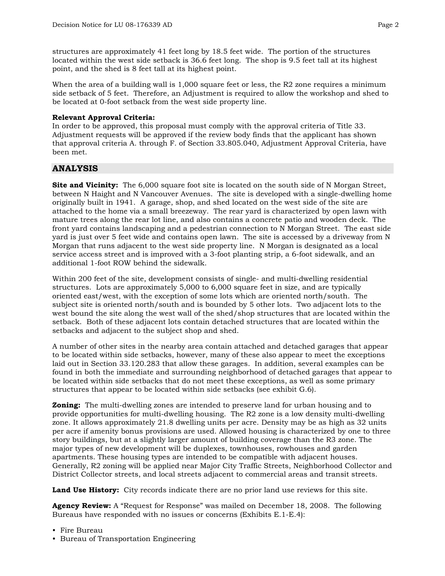structures are approximately 41 feet long by 18.5 feet wide. The portion of the structures located within the west side setback is 36.6 feet long. The shop is 9.5 feet tall at its highest point, and the shed is 8 feet tall at its highest point.

When the area of a building wall is 1,000 square feet or less, the R2 zone requires a minimum side setback of 5 feet. Therefore, an Adjustment is required to allow the workshop and shed to be located at 0-foot setback from the west side property line.

#### **Relevant Approval Criteria:**

In order to be approved, this proposal must comply with the approval criteria of Title 33. Adjustment requests will be approved if the review body finds that the applicant has shown that approval criteria A. through F. of Section 33.805.040, Adjustment Approval Criteria, have been met.

## **ANALYSIS**

**Site and Vicinity:** The 6,000 square foot site is located on the south side of N Morgan Street, between N Haight and N Vancouver Avenues. The site is developed with a single-dwelling home originally built in 1941. A garage, shop, and shed located on the west side of the site are attached to the home via a small breezeway. The rear yard is characterized by open lawn with mature trees along the rear lot line, and also contains a concrete patio and wooden deck. The front yard contains landscaping and a pedestrian connection to N Morgan Street. The east side yard is just over 5 feet wide and contains open lawn. The site is accessed by a driveway from N Morgan that runs adjacent to the west side property line. N Morgan is designated as a local service access street and is improved with a 3-foot planting strip, a 6-foot sidewalk, and an additional 1-foot ROW behind the sidewalk.

Within 200 feet of the site, development consists of single- and multi-dwelling residential structures. Lots are approximately 5,000 to 6,000 square feet in size, and are typically oriented east/west, with the exception of some lots which are oriented north/south. The subject site is oriented north/south and is bounded by 5 other lots. Two adjacent lots to the west bound the site along the west wall of the shed/shop structures that are located within the setback. Both of these adjacent lots contain detached structures that are located within the setbacks and adjacent to the subject shop and shed.

A number of other sites in the nearby area contain attached and detached garages that appear to be located within side setbacks, however, many of these also appear to meet the exceptions laid out in Section 33.120.283 that allow these garages. In addition, several examples can be found in both the immediate and surrounding neighborhood of detached garages that appear to be located within side setbacks that do not meet these exceptions, as well as some primary structures that appear to be located within side setbacks (see exhibit G.6).

**Zoning:** The multi-dwelling zones are intended to preserve land for urban housing and to provide opportunities for multi-dwelling housing. The R2 zone is a low density multi-dwelling zone. It allows approximately 21.8 dwelling units per acre. Density may be as high as 32 units per acre if amenity bonus provisions are used. Allowed housing is characterized by one to three story buildings, but at a slightly larger amount of building coverage than the R3 zone. The major types of new development will be duplexes, townhouses, rowhouses and garden apartments. These housing types are intended to be compatible with adjacent houses. Generally, R2 zoning will be applied near Major City Traffic Streets, Neighborhood Collector and District Collector streets, and local streets adjacent to commercial areas and transit streets.

**Land Use History:** City records indicate there are no prior land use reviews for this site.

**Agency Review:** A "Request for Response" was mailed on December 18, 2008. The following Bureaus have responded with no issues or concerns (Exhibits E.1-E.4):

- Fire Bureau
- Bureau of Transportation Engineering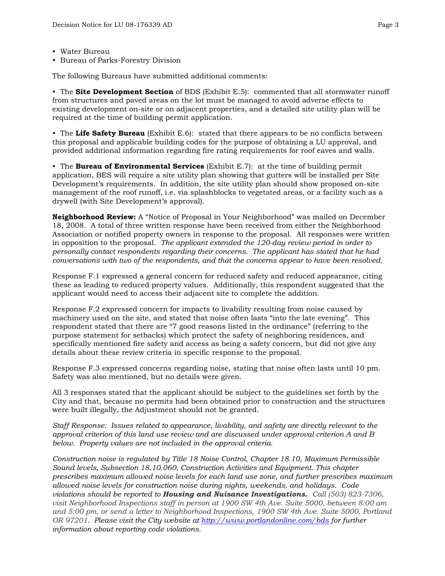- Water Bureau
- Bureau of Parks-Forestry Division

The following Bureaus have submitted additional comments:

• The **Site Development Section** of BDS (Exhibit E.5): commented that all stormwater runoff from structures and paved areas on the lot must be managed to avoid adverse effects to existing development on-site or on adjacent properties, and a detailed site utility plan will be required at the time of building permit application.

• The **Life Safety Bureau** (Exhibit E.6): stated that there appears to be no conflicts between this proposal and applicable building codes for the purpose of obtaining a LU approval, and provided additional information regarding fire rating requirements for roof eaves and walls.

• The **Bureau of Environmental Services** (Exhibit E.7): at the time of building permit application, BES will require a site utility plan showing that gutters will be installed per Site Development's requirements. In addition, the site utility plan should show proposed on-site management of the roof runoff, i.e. via splashblocks to vegetated areas, or a facility such as a drywell (with Site Development's approval).

**Neighborhood Review:** A "Notice of Proposal in Your Neighborhood" was mailed on December 18, 2008. A total of three written response have been received from either the Neighborhood Association or notified property owners in response to the proposal. All responses were written in opposition to the proposal. *The applicant extended the 120-day review period in order to personally contact respondents regarding their concerns. The applicant has stated that he had conversations with two of the respondents, and that the concerns appear to have been resolved.*

Response F.1 expressed a general concern for reduced safety and reduced appearance, citing these as leading to reduced property values. Additionally, this respondent suggested that the applicant would need to access their adjacent site to complete the addition.

Response F.2 expressed concern for impacts to livability resulting from noise caused by machinery used on the site, and stated that noise often lasts "into the late evening". This respondent stated that there are "7 good reasons listed in the ordinance" (referring to the purpose statement for setbacks) which protect the safety of neighboring residences, and specifically mentioned fire safety and access as being a safety concern, but did not give any details about these review criteria in specific response to the proposal.

Response F.3 expressed concerns regarding noise, stating that noise often lasts until 10 pm. Safety was also mentioned, but no details were given.

All 3 responses stated that the applicant should be subject to the guidelines set forth by the City and that, because no permits had been obtained prior to construction and the structures were built illegally, the Adjustment should not be granted.

*Staff Response: Issues related to appearance, livability, and safety are directly relevant to the approval criterion of this land use review and are discussed under approval criterion A and B below. Property values are not included in the approval criteria.* 

*Construction noise is regulated by Title 18 Noise Control, Chapter 18.10, Maximum Permissible Sound levels, Subsection 18.10.060, Construction Activities and Equipment. This chapter prescribes maximum allowed noise levels for each land use zone, and further prescribes maximum allowed noise levels for construction noise during nights, weekends, and holidays. Code violations should be reported to Housing and Nuisance Investigations. Call (503) 823-7306, visit Neighborhood Inspections staff in person at 1900 SW 4th Ave. Suite 5000, between 8:00 am and 5:00 pm, or send a letter to Neighborhood Inspections, 1900 SW 4th Ave. Suite 5000, Portland OR 97201. Please visit the City website at <http://www.portlandonline.com/bds> for further information about reporting code violations.*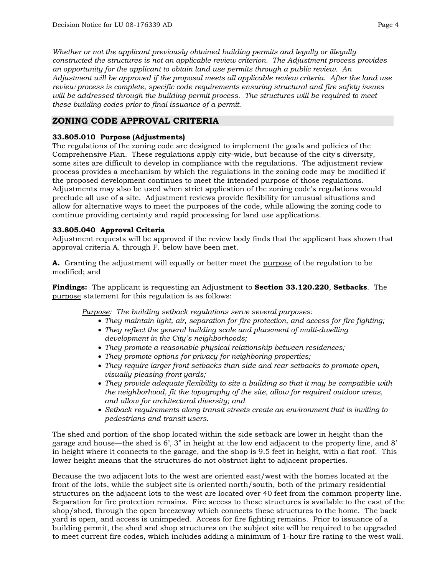*Whether or not the applicant previously obtained building permits and legally or illegally constructed the structures is not an applicable review criterion. The Adjustment process provides an opportunity for the applicant to obtain land use permits through a public review. An Adjustment will be approved if the proposal meets all applicable review criteria. After the land use review process is complete, specific code requirements ensuring structural and fire safety issues will be addressed through the building permit process. The structures will be required to meet these building codes prior to final issuance of a permit.* 

## **ZONING CODE APPROVAL CRITERIA**

## **33.805.010 Purpose (Adjustments)**

The regulations of the zoning code are designed to implement the goals and policies of the Comprehensive Plan. These regulations apply city-wide, but because of the city's diversity, some sites are difficult to develop in compliance with the regulations. The adjustment review process provides a mechanism by which the regulations in the zoning code may be modified if the proposed development continues to meet the intended purpose of those regulations. Adjustments may also be used when strict application of the zoning code's regulations would preclude all use of a site. Adjustment reviews provide flexibility for unusual situations and allow for alternative ways to meet the purposes of the code, while allowing the zoning code to continue providing certainty and rapid processing for land use applications.

#### **33.805.040 Approval Criteria**

Adjustment requests will be approved if the review body finds that the applicant has shown that approval criteria A. through F. below have been met.

**A.** Granting the adjustment will equally or better meet the purpose of the regulation to be modified; and

**Findings:** The applicant is requesting an Adjustment to **Section 33.120.220**, **Setbacks**. The purpose statement for this regulation is as follows:

*Purpose: The building setback regulations serve several purposes:* 

- *They maintain light, air, separation for fire protection, and access for fire fighting;*
- *They reflect the general building scale and placement of multi-dwelling development in the City's neighborhoods;*
- *They promote a reasonable physical relationship between residences;*
- *They promote options for privacy for neighboring properties;*
- *They require larger front setbacks than side and rear setbacks to promote open, visually pleasing front yards;*
- *They provide adequate flexibility to site a building so that it may be compatible with the neighborhood, fit the topography of the site, allow for required outdoor areas, and allow for architectural diversity; and*
- *Setback requirements along transit streets create an environment that is inviting to pedestrians and transit users.*

The shed and portion of the shop located within the side setback are lower in height than the garage and house—the shed is 6', 3" in height at the low end adjacent to the property line, and 8' in height where it connects to the garage, and the shop is 9.5 feet in height, with a flat roof. This lower height means that the structures do not obstruct light to adjacent properties.

Because the two adjacent lots to the west are oriented east/west with the homes located at the front of the lots, while the subject site is oriented north/south, both of the primary residential structures on the adjacent lots to the west are located over 40 feet from the common property line. Separation for fire protection remains. Fire access to these structures is available to the east of the shop/shed, through the open breezeway which connects these structures to the home. The back yard is open, and access is unimpeded. Access for fire fighting remains. Prior to issuance of a building permit, the shed and shop structures on the subject site will be required to be upgraded to meet current fire codes, which includes adding a minimum of 1-hour fire rating to the west wall.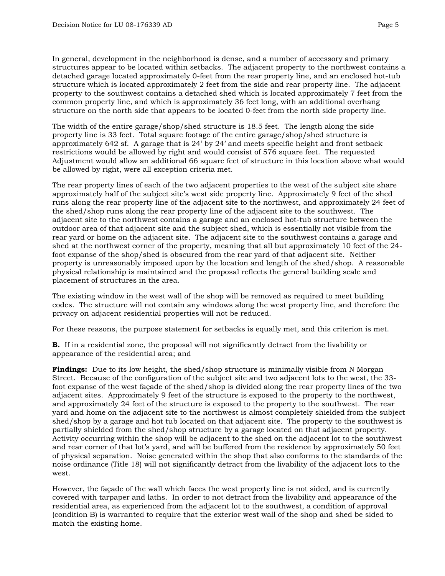In general, development in the neighborhood is dense, and a number of accessory and primary structures appear to be located within setbacks. The adjacent property to the northwest contains a detached garage located approximately 0-feet from the rear property line, and an enclosed hot-tub structure which is located approximately 2 feet from the side and rear property line. The adjacent property to the southwest contains a detached shed which is located approximately 7 feet from the common property line, and which is approximately 36 feet long, with an additional overhang structure on the north side that appears to be located 0-feet from the north side property line.

The width of the entire garage/shop/shed structure is 18.5 feet. The length along the side property line is 33 feet. Total square footage of the entire garage/shop/shed structure is approximately 642 sf. A garage that is 24' by 24' and meets specific height and front setback restrictions would be allowed by right and would consist of 576 square feet. The requested Adjustment would allow an additional 66 square feet of structure in this location above what would be allowed by right, were all exception criteria met.

The rear property lines of each of the two adjacent properties to the west of the subject site share approximately half of the subject site's west side property line. Approximately 9 feet of the shed runs along the rear property line of the adjacent site to the northwest, and approximately 24 feet of the shed/shop runs along the rear property line of the adjacent site to the southwest. The adjacent site to the northwest contains a garage and an enclosed hot-tub structure between the outdoor area of that adjacent site and the subject shed, which is essentially not visible from the rear yard or home on the adjacent site. The adjacent site to the southwest contains a garage and shed at the northwest corner of the property, meaning that all but approximately 10 feet of the 24 foot expanse of the shop/shed is obscured from the rear yard of that adjacent site. Neither property is unreasonably imposed upon by the location and length of the shed/shop. A reasonable physical relationship is maintained and the proposal reflects the general building scale and placement of structures in the area.

The existing window in the west wall of the shop will be removed as required to meet building codes. The structure will not contain any windows along the west property line, and therefore the privacy on adjacent residential properties will not be reduced.

For these reasons, the purpose statement for setbacks is equally met, and this criterion is met.

**B.** If in a residential zone, the proposal will not significantly detract from the livability or appearance of the residential area; and

**Findings:** Due to its low height, the shed/shop structure is minimally visible from N Morgan Street. Because of the configuration of the subject site and two adjacent lots to the west, the 33 foot expanse of the west façade of the shed/shop is divided along the rear property lines of the two adjacent sites. Approximately 9 feet of the structure is exposed to the property to the northwest, and approximately 24 feet of the structure is exposed to the property to the southwest. The rear yard and home on the adjacent site to the northwest is almost completely shielded from the subject shed/shop by a garage and hot tub located on that adjacent site. The property to the southwest is partially shielded from the shed/shop structure by a garage located on that adjacent property. Activity occurring within the shop will be adjacent to the shed on the adjacent lot to the southwest and rear corner of that lot's yard, and will be buffered from the residence by approximately 50 feet of physical separation. Noise generated within the shop that also conforms to the standards of the noise ordinance (Title 18) will not significantly detract from the livability of the adjacent lots to the west.

However, the façade of the wall which faces the west property line is not sided, and is currently covered with tarpaper and laths. In order to not detract from the livability and appearance of the residential area, as experienced from the adjacent lot to the southwest, a condition of approval (condition B) is warranted to require that the exterior west wall of the shop and shed be sided to match the existing home.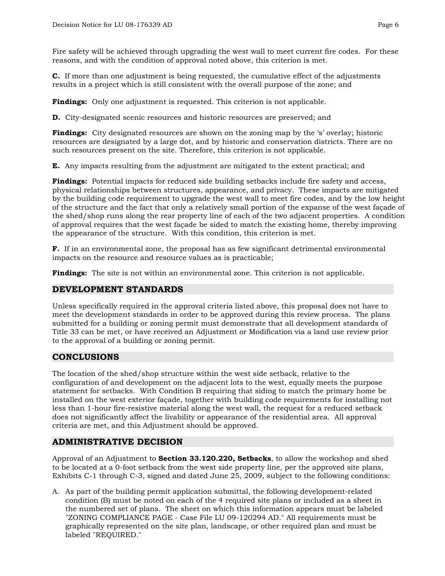Fire safety will be achieved through upgrading the west wall to meet current fire codes. For these reasons, and with the condition of approval noted above, this criterion is met.

 **C.** If more than one adjustment is being requested, the cumulative effect of the adjustments results in a project which is still consistent with the overall purpose of the zone; and

**Findings:** Only one adjustment is requested. This criterion is not applicable.

 **D.** City-designated scenic resources and historic resources are preserved; and

**Findings:** City designated resources are shown on the zoning map by the 's' overlay; historic resources are designated by a large dot, and by historic and conservation districts. There are no such resources present on the site. Therefore, this criterion is not applicable.

 **E.** Any impacts resulting from the adjustment are mitigated to the extent practical; and

**Findings:** Potential impacts for reduced side building setbacks include fire safety and access, physical relationships between structures, appearance, and privacy. These impacts are mitigated by the building code requirement to upgrade the west wall to meet fire codes, and by the low height of the structure and the fact that only a relatively small portion of the expanse of the west façade of the shed/shop runs along the rear property line of each of the two adjacent properties. A condition of approval requires that the west façade be sided to match the existing home, thereby improving the appearance of the structure. With this condition, this criterion is met.

**F.** If in an environmental zone, the proposal has as few significant detrimental environmental impacts on the resource and resource values as is practicable;

**Findings:** The site is not within an environmental zone. This criterion is not applicable.

## **DEVELOPMENT STANDARDS**

Unless specifically required in the approval criteria listed above, this proposal does not have to meet the development standards in order to be approved during this review process. The plans submitted for a building or zoning permit must demonstrate that all development standards of Title 33 can be met, or have received an Adjustment or Modification via a land use review prior to the approval of a building or zoning permit.

## **CONCLUSIONS**

The location of the shed/shop structure within the west side setback, relative to the configuration of and development on the adjacent lots to the west, equally meets the purpose statement for setbacks. With Condition B requiring that siding to match the primary home be installed on the west exterior façade, together with building code requirements for installing not less than 1-hour fire-resistive material along the west wall, the request for a reduced setback does not significantly affect the livability or appearance of the residential area. All approval criteria are met, and this Adjustment should be approved.

# **ADMINISTRATIVE DECISION**

Approval of an Adjustment to **Section 33.120.220, Setbacks**, to allow the workshop and shed to be located at a 0-foot setback from the west side property line, per the approved site plans, Exhibits C-1 through C-3, signed and dated June 25, 2009, subject to the following conditions:

A. As part of the building permit application submittal, the following development-related condition (B) must be noted on each of the 4 required site plans or included as a sheet in the numbered set of plans. The sheet on which this information appears must be labeled "ZONING COMPLIANCE PAGE - Case File LU 09-120294 AD." All requirements must be graphically represented on the site plan, landscape, or other required plan and must be labeled "REQUIRED."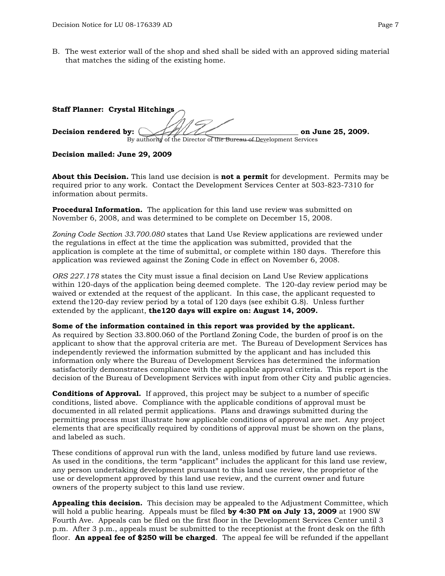B. The west exterior wall of the shop and shed shall be sided with an approved siding material that matches the siding of the existing home.

| Staff Planner: Crystal Hitchings $\bigcap$                         |                   |
|--------------------------------------------------------------------|-------------------|
| Decision rendered by:                                              | on June 25, 2009. |
| By authority of the Director of the Bureau of Development Services |                   |

#### **Decision mailed: June 29, 2009**

**About this Decision.** This land use decision is **not a permit** for development. Permits may be required prior to any work. Contact the Development Services Center at 503-823-7310 for information about permits.

**Procedural Information.** The application for this land use review was submitted on November 6, 2008, and was determined to be complete on December 15, 2008.

*Zoning Code Section 33.700.080* states that Land Use Review applications are reviewed under the regulations in effect at the time the application was submitted, provided that the application is complete at the time of submittal, or complete within 180 days. Therefore this application was reviewed against the Zoning Code in effect on November 6, 2008.

*ORS 227.178* states the City must issue a final decision on Land Use Review applications within 120-days of the application being deemed complete. The 120-day review period may be waived or extended at the request of the applicant. In this case, the applicant requested to extend the120-day review period by a total of 120 days (see exhibit G.8). Unless further extended by the applicant, **the120 days will expire on: August 14, 2009.**

**Some of the information contained in this report was provided by the applicant.**

As required by Section 33.800.060 of the Portland Zoning Code, the burden of proof is on the applicant to show that the approval criteria are met. The Bureau of Development Services has independently reviewed the information submitted by the applicant and has included this information only where the Bureau of Development Services has determined the information satisfactorily demonstrates compliance with the applicable approval criteria. This report is the decision of the Bureau of Development Services with input from other City and public agencies.

**Conditions of Approval.** If approved, this project may be subject to a number of specific conditions, listed above. Compliance with the applicable conditions of approval must be documented in all related permit applications. Plans and drawings submitted during the permitting process must illustrate how applicable conditions of approval are met. Any project elements that are specifically required by conditions of approval must be shown on the plans, and labeled as such.

These conditions of approval run with the land, unless modified by future land use reviews. As used in the conditions, the term "applicant" includes the applicant for this land use review, any person undertaking development pursuant to this land use review, the proprietor of the use or development approved by this land use review, and the current owner and future owners of the property subject to this land use review.

**Appealing this decision.** This decision may be appealed to the Adjustment Committee, which will hold a public hearing. Appeals must be filed **by 4:30 PM on July 13, 2009** at 1900 SW Fourth Ave. Appeals can be filed on the first floor in the Development Services Center until 3 p.m. After 3 p.m., appeals must be submitted to the receptionist at the front desk on the fifth floor. **An appeal fee of \$250 will be charged**. The appeal fee will be refunded if the appellant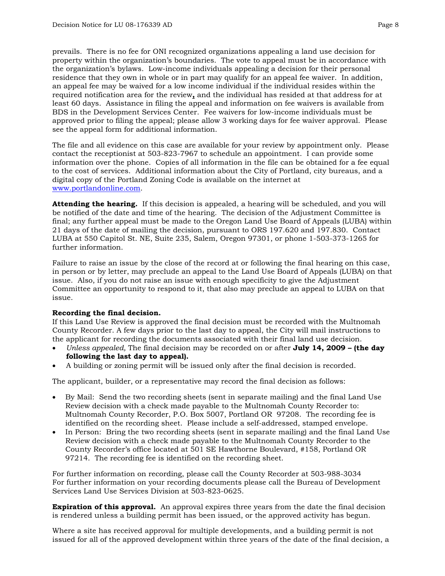prevails. There is no fee for ONI recognized organizations appealing a land use decision for property within the organization's boundaries. The vote to appeal must be in accordance with the organization's bylaws. Low-income individuals appealing a decision for their personal residence that they own in whole or in part may qualify for an appeal fee waiver. In addition, an appeal fee may be waived for a low income individual if the individual resides within the required notification area for the review**,** and the individual has resided at that address for at least 60 days. Assistance in filing the appeal and information on fee waivers is available from BDS in the Development Services Center. Fee waivers for low-income individuals must be approved prior to filing the appeal; please allow 3 working days for fee waiver approval. Please see the appeal form for additional information.

The file and all evidence on this case are available for your review by appointment only. Please contact the receptionist at 503-823-7967 to schedule an appointment. I can provide some information over the phone. Copies of all information in the file can be obtained for a fee equal to the cost of services. Additional information about the City of Portland, city bureaus, and a digital copy of the Portland Zoning Code is available on the internet at [www.portlandonline.com](http://www.ci.portland.or.us/).

**Attending the hearing.** If this decision is appealed, a hearing will be scheduled, and you will be notified of the date and time of the hearing. The decision of the Adjustment Committee is final; any further appeal must be made to the Oregon Land Use Board of Appeals (LUBA) within 21 days of the date of mailing the decision, pursuant to ORS 197.620 and 197.830. Contact LUBA at 550 Capitol St. NE, Suite 235, Salem, Oregon 97301, or phone 1-503-373-1265 for further information.

Failure to raise an issue by the close of the record at or following the final hearing on this case, in person or by letter, may preclude an appeal to the Land Use Board of Appeals (LUBA) on that issue. Also, if you do not raise an issue with enough specificity to give the Adjustment Committee an opportunity to respond to it, that also may preclude an appeal to LUBA on that issue.

#### **Recording the final decision.**

If this Land Use Review is approved the final decision must be recorded with the Multnomah County Recorder. A few days prior to the last day to appeal, the City will mail instructions to the applicant for recording the documents associated with their final land use decision.

- *Unless appealed,* The final decision may be recorded on or after **July 14, 2009 (the day following the last day to appeal).**
- A building or zoning permit will be issued only after the final decision is recorded.

The applicant, builder, or a representative may record the final decision as follows:

- By Mail: Send the two recording sheets (sent in separate mailing) and the final Land Use Review decision with a check made payable to the Multnomah County Recorder to: Multnomah County Recorder, P.O. Box 5007, Portland OR 97208. The recording fee is identified on the recording sheet. Please include a self-addressed, stamped envelope.
- In Person: Bring the two recording sheets (sent in separate mailing) and the final Land Use Review decision with a check made payable to the Multnomah County Recorder to the County Recorder's office located at 501 SE Hawthorne Boulevard, #158, Portland OR 97214. The recording fee is identified on the recording sheet.

For further information on recording, please call the County Recorder at 503-988-3034 For further information on your recording documents please call the Bureau of Development Services Land Use Services Division at 503-823-0625.

**Expiration of this approval.** An approval expires three years from the date the final decision is rendered unless a building permit has been issued, or the approved activity has begun.

Where a site has received approval for multiple developments, and a building permit is not issued for all of the approved development within three years of the date of the final decision, a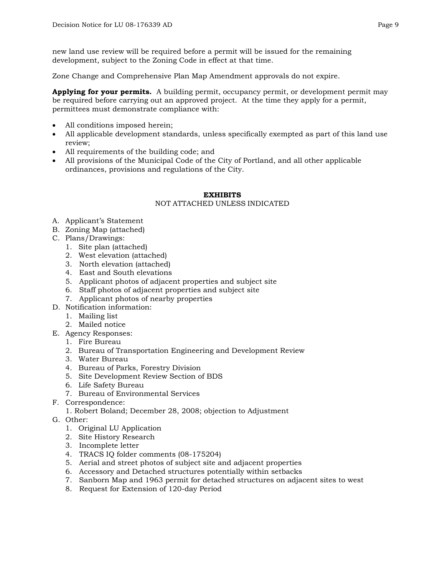new land use review will be required before a permit will be issued for the remaining development, subject to the Zoning Code in effect at that time.

Zone Change and Comprehensive Plan Map Amendment approvals do not expire.

**Applying for your permits.** A building permit, occupancy permit, or development permit may be required before carrying out an approved project. At the time they apply for a permit, permittees must demonstrate compliance with:

- All conditions imposed herein;
- All applicable development standards, unless specifically exempted as part of this land use review;
- All requirements of the building code; and
- All provisions of the Municipal Code of the City of Portland, and all other applicable ordinances, provisions and regulations of the City.

#### **EXHIBITS**

## NOT ATTACHED UNLESS INDICATED

- A. Applicant's Statement
- B. Zoning Map (attached)
- C. Plans/Drawings:
	- 1. Site plan (attached)
	- 2. West elevation (attached)
	- 3. North elevation (attached)
	- 4. East and South elevations
	- 5. Applicant photos of adjacent properties and subject site
	- 6. Staff photos of adjacent properties and subject site
	- 7. Applicant photos of nearby properties
- D. Notification information:
	- 1. Mailing list
	- 2. Mailed notice
- E. Agency Responses:
	- 1. Fire Bureau
	- 2. Bureau of Transportation Engineering and Development Review
	- 3. Water Bureau
	- 4. Bureau of Parks, Forestry Division
	- 5. Site Development Review Section of BDS
	- 6. Life Safety Bureau
	- 7. Bureau of Environmental Services
- F. Correspondence:
	- 1. Robert Boland; December 28, 2008; objection to Adjustment
- G. Other:
	- 1. Original LU Application
	- 2. Site History Research
	- 3. Incomplete letter
	- 4. TRACS IQ folder comments (08-175204)
	- 5. Aerial and street photos of subject site and adjacent properties
	- 6. Accessory and Detached structures potentially within setbacks
	- 7. Sanborn Map and 1963 permit for detached structures on adjacent sites to west
	- 8. Request for Extension of 120-day Period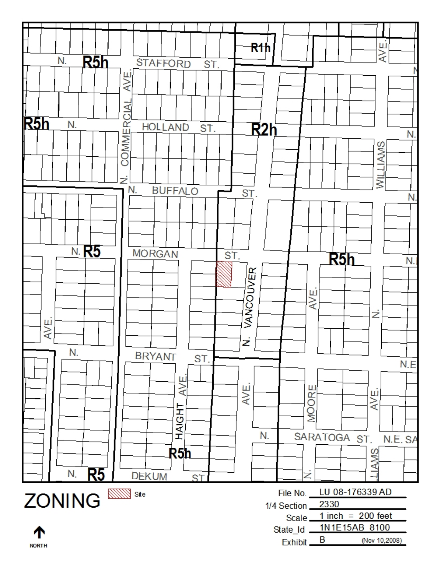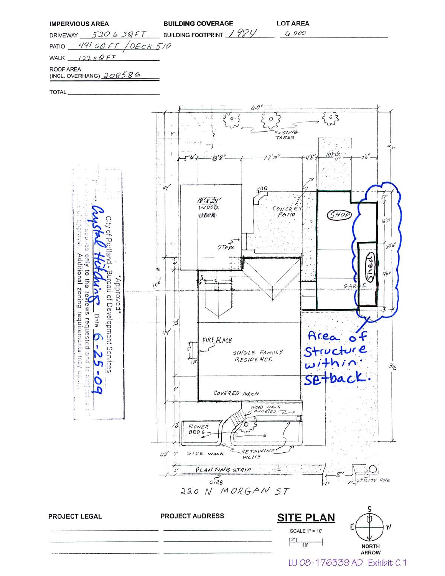|  |  |  | IMPERVIOUS AREA |
|--|--|--|-----------------|
|--|--|--|-----------------|

| <b>BUILDING COVERAGE</b> |  |  |
|--------------------------|--|--|
|                          |  |  |

WALK  $12258FF$ 

ROOF AREA

(INCL. OVERHANG) 208586

**TOTAL**